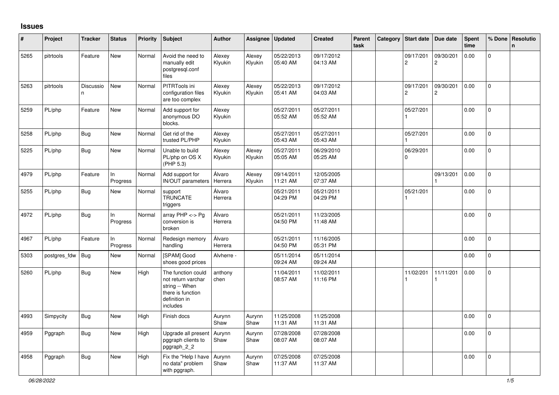## **Issues**

| #    | Project      | <b>Tracker</b>  | <b>Status</b>   | <b>Priority</b> | <b>Subject</b>                                                                                               | <b>Author</b>     | Assignee          | <b>Updated</b>         | <b>Created</b>         | Parent<br>task | Category | <b>Start date</b>           | Due date                    | Spent<br>time | % Done       | Resolutio<br>n |
|------|--------------|-----------------|-----------------|-----------------|--------------------------------------------------------------------------------------------------------------|-------------------|-------------------|------------------------|------------------------|----------------|----------|-----------------------------|-----------------------------|---------------|--------------|----------------|
| 5265 | pitrtools    | Feature         | New             | Normal          | Avoid the need to<br>manually edit<br>postgresql.conf<br>files                                               | Alexey<br>Klyukin | Alexey<br>Klyukin | 05/22/2013<br>05:40 AM | 09/17/2012<br>04:13 AM |                |          | 09/17/201<br>$\overline{c}$ | 09/30/201<br>$\overline{2}$ | 0.00          | $\mathbf{0}$ |                |
| 5263 | pitrtools    | Discussio<br>n. | New             | Normal          | PITRTools ini<br>configuration files<br>are too complex                                                      | Alexey<br>Klyukin | Alexey<br>Klyukin | 05/22/2013<br>05:41 AM | 09/17/2012<br>04:03 AM |                |          | 09/17/201<br>$\overline{c}$ | 09/30/201<br>$\overline{2}$ | 0.00          | $\mathsf{O}$ |                |
| 5259 | PL/php       | Feature         | New             | Normal          | Add support for<br>anonymous DO<br>blocks.                                                                   | Alexey<br>Klyukin |                   | 05/27/2011<br>05:52 AM | 05/27/2011<br>05:52 AM |                |          | 05/27/201                   |                             | 0.00          | $\mathbf 0$  |                |
| 5258 | PL/php       | Bug             | <b>New</b>      | Normal          | Get rid of the<br>trusted PL/PHP                                                                             | Alexey<br>Klyukin |                   | 05/27/2011<br>05:43 AM | 05/27/2011<br>05:43 AM |                |          | 05/27/201                   |                             | 0.00          | $\Omega$     |                |
| 5225 | PL/php       | Bug             | New             | Normal          | Unable to build<br>PL/php on OS X<br>(PHP 5.3)                                                               | Alexey<br>Klyukin | Alexey<br>Klyukin | 05/27/2011<br>05:05 AM | 06/29/2010<br>05:25 AM |                |          | 06/29/201<br>0              |                             | 0.00          | $\mathbf 0$  |                |
| 4979 | PL/php       | Feature         | ln.<br>Progress | Normal          | Add support for<br>IN/OUT parameters                                                                         | Álvaro<br>Herrera | Alexey<br>Klyukin | 09/14/2011<br>11:21 AM | 12/05/2005<br>07:37 AM |                |          |                             | 09/13/201                   | 0.00          | $\mathbf{0}$ |                |
| 5255 | PL/php       | Bug             | New             | Normal          | support<br><b>TRUNCATE</b><br>triggers                                                                       | Álvaro<br>Herrera |                   | 05/21/2011<br>04:29 PM | 05/21/2011<br>04:29 PM |                |          | 05/21/201                   |                             | 0.00          | $\mathbf 0$  |                |
| 4972 | PL/php       | <b>Bug</b>      | In<br>Progress  | Normal          | array $PHP \lt\gt Pg$<br>conversion is<br>broken                                                             | Álvaro<br>Herrera |                   | 05/21/2011<br>04:50 PM | 11/23/2005<br>11:48 AM |                |          |                             |                             | 0.00          | $\mathbf{0}$ |                |
| 4967 | PL/php       | Feature         | ln.<br>Progress | Normal          | Redesign memory<br>handling                                                                                  | Álvaro<br>Herrera |                   | 05/21/2011<br>04:50 PM | 11/16/2005<br>05:31 PM |                |          |                             |                             | 0.00          | $\Omega$     |                |
| 5303 | postgres_fdw | <b>Bug</b>      | <b>New</b>      | Normal          | [SPAM] Good<br>shoes good prices                                                                             | Alvherre -        |                   | 05/11/2014<br>09:24 AM | 05/11/2014<br>09:24 AM |                |          |                             |                             | 0.00          | $\mathbf 0$  |                |
| 5260 | PL/php       | Bug             | <b>New</b>      | High            | The function could<br>not return varchar<br>string -- When<br>there is function<br>definition in<br>includes | anthony<br>chen   |                   | 11/04/2011<br>08:57 AM | 11/02/2011<br>11:16 PM |                |          | 11/02/201                   | 11/11/201                   | 0.00          | $\mathbf{0}$ |                |
| 4993 | Simpycity    | Bug             | New             | High            | Finish docs                                                                                                  | Aurynn<br>Shaw    | Aurynn<br>Shaw    | 11/25/2008<br>11:31 AM | 11/25/2008<br>11:31 AM |                |          |                             |                             | 0.00          | $\mathbf 0$  |                |
| 4959 | Pggraph      | <b>Bug</b>      | <b>New</b>      | High            | Upgrade all present<br>pggraph clients to<br>pggraph_2_2                                                     | Aurynn<br>Shaw    | Aurynn<br>Shaw    | 07/28/2008<br>08:07 AM | 07/28/2008<br>08:07 AM |                |          |                             |                             | 0.00          | $\Omega$     |                |
| 4958 | Pggraph      | Bug             | <b>New</b>      | High            | Fix the "Help I have<br>no data" problem<br>with pggraph.                                                    | Aurynn<br>Shaw    | Aurynn<br>Shaw    | 07/25/2008<br>11:37 AM | 07/25/2008<br>11:37 AM |                |          |                             |                             | 0.00          | $\Omega$     |                |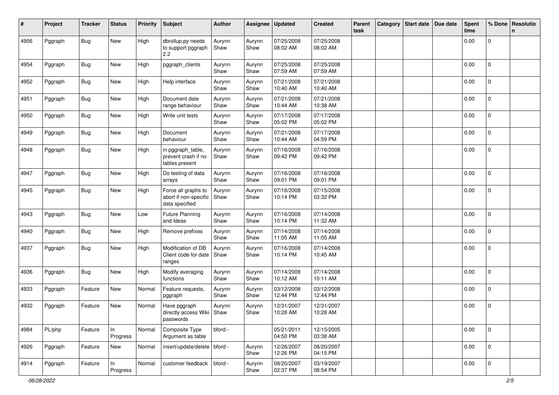| #    | Project | <b>Tracker</b> | <b>Status</b>  | <b>Priority</b> | <b>Subject</b>                                                 | <b>Author</b>  | Assignee       | Updated                | <b>Created</b>         | Parent<br>task | Category | Start date | Due date | <b>Spent</b><br>time | % Done         | Resolutio<br>n |
|------|---------|----------------|----------------|-----------------|----------------------------------------------------------------|----------------|----------------|------------------------|------------------------|----------------|----------|------------|----------|----------------------|----------------|----------------|
| 4956 | Pggraph | <b>Bug</b>     | New            | High            | dbrollup.py needs<br>to support pggraph<br>$2.2\,$             | Aurynn<br>Shaw | Aurynn<br>Shaw | 07/25/2008<br>08:02 AM | 07/25/2008<br>08:02 AM |                |          |            |          | 0.00                 | $\mathbf 0$    |                |
| 4954 | Pggraph | <b>Bug</b>     | New            | High            | pggraph_clients                                                | Aurynn<br>Shaw | Aurynn<br>Shaw | 07/25/2008<br>07:59 AM | 07/25/2008<br>07:59 AM |                |          |            |          | 0.00                 | $\pmb{0}$      |                |
| 4952 | Pggraph | Bug            | New            | High            | Help interface                                                 | Aurynn<br>Shaw | Aurynn<br>Shaw | 07/21/2008<br>10:40 AM | 07/21/2008<br>10:40 AM |                |          |            |          | 0.00                 | $\mathbf{0}$   |                |
| 4951 | Pggraph | Bug            | New            | High            | Document date<br>range behaviour                               | Aurynn<br>Shaw | Aurynn<br>Shaw | 07/21/2008<br>10:44 AM | 07/21/2008<br>10:38 AM |                |          |            |          | 0.00                 | 0              |                |
| 4950 | Pggraph | <b>Bug</b>     | New            | High            | Write unit tests                                               | Aurynn<br>Shaw | Aurynn<br>Shaw | 07/17/2008<br>05:02 PM | 07/17/2008<br>05:02 PM |                |          |            |          | 0.00                 | $\mathbf 0$    |                |
| 4949 | Pggraph | Bug            | New            | High            | Document<br>behaviour                                          | Aurynn<br>Shaw | Aurynn<br>Shaw | 07/21/2008<br>10:44 AM | 07/17/2008<br>04:59 PM |                |          |            |          | 0.00                 | 0              |                |
| 4948 | Pggraph | <b>Bug</b>     | New            | High            | in pggraph_table,<br>prevent crash if no<br>tables present     | Aurynn<br>Shaw | Aurynn<br>Shaw | 07/16/2008<br>09:42 PM | 07/16/2008<br>09:42 PM |                |          |            |          | 0.00                 | $\overline{0}$ |                |
| 4947 | Pggraph | <b>Bug</b>     | New            | High            | Do testing of data<br>arrays                                   | Aurynn<br>Shaw | Aurynn<br>Shaw | 07/16/2008<br>09:01 PM | 07/16/2008<br>09:01 PM |                |          |            |          | 0.00                 | $\mathbf{0}$   |                |
| 4945 | Pggraph | <b>Bug</b>     | New            | High            | Force all graphs to<br>abort if non-specific<br>data specified | Aurynn<br>Shaw | Aurynn<br>Shaw | 07/16/2008<br>10:14 PM | 07/15/2008<br>03:32 PM |                |          |            |          | 0.00                 | 0              |                |
| 4943 | Pggraph | Bug            | New            | Low             | <b>Future Planning</b><br>and Ideas                            | Aurynn<br>Shaw | Aurynn<br>Shaw | 07/16/2008<br>10:14 PM | 07/14/2008<br>11:32 AM |                |          |            |          | 0.00                 | 0              |                |
| 4940 | Pggraph | <b>Bug</b>     | New            | High            | Remove prefixes                                                | Aurynn<br>Shaw | Aurynn<br>Shaw | 07/14/2008<br>11:05 AM | 07/14/2008<br>11:05 AM |                |          |            |          | 0.00                 | $\mathbf 0$    |                |
| 4937 | Pggraph | Bug            | New            | High            | Modification of DB<br>Client code for date<br>ranges           | Aurynn<br>Shaw | Aurynn<br>Shaw | 07/16/2008<br>10:14 PM | 07/14/2008<br>10:45 AM |                |          |            |          | 0.00                 | 0              |                |
| 4936 | Pggraph | Bug            | New            | High            | Modify averaging<br>functions                                  | Aurynn<br>Shaw | Aurynn<br>Shaw | 07/14/2008<br>10:12 AM | 07/14/2008<br>10:11 AM |                |          |            |          | 0.00                 | $\mathbf 0$    |                |
| 4933 | Pggraph | Feature        | New            | Normal          | Feature requests,<br>pggraph                                   | Aurynn<br>Shaw | Aurynn<br>Shaw | 03/12/2008<br>12:44 PM | 03/12/2008<br>12:44 PM |                |          |            |          | 0.00                 | $\mathbf{0}$   |                |
| 4932 | Pggraph | Feature        | New            | Normal          | Have pggraph<br>directly access Wiki   Shaw<br>passwords       | Aurynn         | Aurynn<br>Shaw | 12/31/2007<br>10:28 AM | 12/31/2007<br>10:28 AM |                |          |            |          | 0.00                 | 0              |                |
| 4984 | PL/php  | Feature        | In<br>Progress | Normal          | Composite Type<br>Argument as table                            | bford -        |                | 05/21/2011<br>04:50 PM | 12/15/2005<br>03:38 AM |                |          |            |          | 0.00                 | 0              |                |
| 4926 | Pggraph | Feature        | New            | Normal          | insert/update/delete   bford -                                 |                | Aurynn<br>Shaw | 12/26/2007<br>12:26 PM | 08/20/2007<br>04:15 PM |                |          |            |          | 0.00                 | $\mathsf 0$    |                |
| 4914 | Pggraph | Feature        | In<br>Progress | Normal          | customer feedback                                              | bford -        | Aurynn<br>Shaw | 08/20/2007<br>02:37 PM | 03/19/2007<br>08:54 PM |                |          |            |          | 0.00                 | $\mathbf 0$    |                |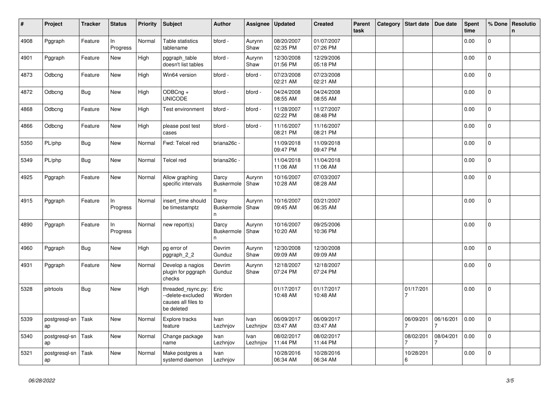| #    | Project             | <b>Tracker</b> | <b>Status</b>   | <b>Priority</b> | <b>Subject</b>                                                               | <b>Author</b>                              | Assignee         | <b>Updated</b>         | <b>Created</b>         | Parent<br>task | Category | <b>Start date</b> | Due date  | <b>Spent</b><br>time | % Done         | Resolutio<br>$\mathsf{n}$ |
|------|---------------------|----------------|-----------------|-----------------|------------------------------------------------------------------------------|--------------------------------------------|------------------|------------------------|------------------------|----------------|----------|-------------------|-----------|----------------------|----------------|---------------------------|
| 4908 | Pggraph             | Feature        | In<br>Progress  | Normal          | Table statistics<br>tablename                                                | bford -                                    | Aurynn<br>Shaw   | 08/20/2007<br>02:35 PM | 01/07/2007<br>07:26 PM |                |          |                   |           | 0.00                 | 0              |                           |
| 4901 | Pggraph             | Feature        | New             | High            | pggraph_table<br>doesn't list tables                                         | bford -                                    | Aurynn<br>Shaw   | 12/30/2008<br>01:56 PM | 12/29/2006<br>05:18 PM |                |          |                   |           | 0.00                 | $\mathbf 0$    |                           |
| 4873 | Odbcng              | Feature        | New             | High            | Win64 version                                                                | bford -                                    | bford -          | 07/23/2008<br>02:21 AM | 07/23/2008<br>02:21 AM |                |          |                   |           | 0.00                 | $\mathsf 0$    |                           |
| 4872 | Odbcng              | <b>Bug</b>     | New             | High            | ODBCng +<br><b>UNICODE</b>                                                   | bford -                                    | bford -          | 04/24/2008<br>08:55 AM | 04/24/2008<br>08:55 AM |                |          |                   |           | 0.00                 | $\mathbf{0}$   |                           |
| 4868 | Odbcng              | Feature        | New             | High            | Test environment                                                             | bford -                                    | bford -          | 11/28/2007<br>02:22 PM | 11/27/2007<br>08:48 PM |                |          |                   |           | 0.00                 | $\mathbf 0$    |                           |
| 4866 | Odbcng              | Feature        | New             | High            | please post test<br>cases                                                    | bford -                                    | bford -          | 11/16/2007<br>08:21 PM | 11/16/2007<br>08:21 PM |                |          |                   |           | 0.00                 | 0              |                           |
| 5350 | PL/php              | <b>Bug</b>     | New             | Normal          | Fwd: Telcel red                                                              | briana26c -                                |                  | 11/09/2018<br>09:47 PM | 11/09/2018<br>09:47 PM |                |          |                   |           | 0.00                 | $\mathbf{0}$   |                           |
| 5349 | PL/php              | <b>Bug</b>     | New             | Normal          | Telcel red                                                                   | briana26c -                                |                  | 11/04/2018<br>11:06 AM | 11/04/2018<br>11:06 AM |                |          |                   |           | 0.00                 | $\mathbf{0}$   |                           |
| 4925 | Pggraph             | Feature        | New             | Normal          | Allow graphing<br>specific intervals                                         | Darcy<br><b>Buskermole</b><br>n.           | Aurynn<br>Shaw   | 10/16/2007<br>10:28 AM | 07/03/2007<br>08:28 AM |                |          |                   |           | 0.00                 | 0              |                           |
| 4915 | Pggraph             | Feature        | In<br>Progress  | Normal          | insert time should<br>be timestamptz                                         | Darcy<br><b>Buskermole</b><br>$\mathsf{n}$ | Aurynn<br>Shaw   | 10/16/2007<br>09:45 AM | 03/21/2007<br>06:35 AM |                |          |                   |           | 0.00                 | 0              |                           |
| 4890 | Pggraph             | Feature        | ln.<br>Progress | Normal          | new report(s)                                                                | Darcy<br>Buskermole<br>$\mathsf{n}$        | Aurynn<br>Shaw   | 10/16/2007<br>10:20 AM | 09/25/2006<br>10:36 PM |                |          |                   |           | 0.00                 | $\mathbf{0}$   |                           |
| 4960 | Pggraph             | Bug            | New             | High            | pg error of<br>pggraph_2_2                                                   | Devrim<br>Gunduz                           | Aurynn<br>Shaw   | 12/30/2008<br>09:09 AM | 12/30/2008<br>09:09 AM |                |          |                   |           | 0.00                 | $\overline{0}$ |                           |
| 4931 | Pggraph             | Feature        | New             | Normal          | Develop a nagios<br>plugin for pggraph<br>checks                             | Devrim<br>Gunduz                           | Aurynn<br>Shaw   | 12/18/2007<br>07:24 PM | 12/18/2007<br>07:24 PM |                |          |                   |           | 0.00                 | $\mathbf 0$    |                           |
| 5328 | pitrtools           | <b>Bug</b>     | New             | High            | threaded_rsync.py:<br>--delete-excluded<br>causes all files to<br>be deleted | Eric<br>Worden                             |                  | 01/17/2017<br>10:48 AM | 01/17/2017<br>10:48 AM |                |          | 01/17/201         |           | 0.00                 | $\overline{0}$ |                           |
| 5339 | postgresql-sn<br>ap | Task           | New             | Normal          | Explore tracks<br>feature                                                    | Ivan<br>Lezhnjov                           | Ivan<br>Lezhnjov | 06/09/2017<br>03:47 AM | 06/09/2017<br>03:47 AM |                |          | 06/09/201         | 06/16/201 | 0.00                 | $\mathbf 0$    |                           |
| 5340 | postgresql-sn<br>ap | Task           | New             | Normal          | Change package<br>name                                                       | Ivan<br>Lezhnjov                           | Ivan<br>Lezhnjov | 08/02/2017<br>11:44 PM | 08/02/2017<br>11:44 PM |                |          | 08/02/201         | 08/04/201 | 0.00                 | $\overline{0}$ |                           |
| 5321 | postgresql-sn<br>ap | Task           | <b>New</b>      | Normal          | Make postgres a<br>systemd daemon                                            | Ivan<br>Lezhnjov                           |                  | 10/28/2016<br>06:34 AM | 10/28/2016<br>06:34 AM |                |          | 10/28/201<br>6    |           | 0.00                 | 0              |                           |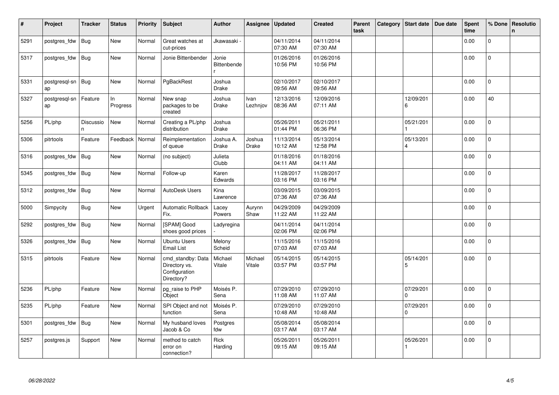| $\#$ | Project             | <b>Tracker</b>  | <b>Status</b>  | Priority | <b>Subject</b>                                                    | <b>Author</b>             | Assignee               | <b>Updated</b>         | <b>Created</b>         | <b>Parent</b><br>task | Category | Start date            | Due date | <b>Spent</b><br>time | % Done         | Resolutio<br>$\mathbf n$ |
|------|---------------------|-----------------|----------------|----------|-------------------------------------------------------------------|---------------------------|------------------------|------------------------|------------------------|-----------------------|----------|-----------------------|----------|----------------------|----------------|--------------------------|
| 5291 | postgres_fdw        | <b>Bug</b>      | <b>New</b>     | Normal   | Great watches at<br>cut-prices                                    | Jkawasaki                 |                        | 04/11/2014<br>07:30 AM | 04/11/2014<br>07:30 AM |                       |          |                       |          | 0.00                 | $\Omega$       |                          |
| 5317 | postgres fdw        | Bug             | <b>New</b>     | Normal   | Jonie Bittenbender                                                | Jonie<br>Bittenbende      |                        | 01/26/2016<br>10:56 PM | 01/26/2016<br>10:56 PM |                       |          |                       |          | 0.00                 | $\mathsf{O}$   |                          |
| 5331 | postgresgl-sn<br>ap | <b>Bug</b>      | <b>New</b>     | Normal   | PgBackRest                                                        | Joshua<br><b>Drake</b>    |                        | 02/10/2017<br>09:56 AM | 02/10/2017<br>09:56 AM |                       |          |                       |          | 0.00                 | $\Omega$       |                          |
| 5327 | postgresgl-sn<br>ap | Feature         | In<br>Progress | Normal   | New snap<br>packages to be<br>created                             | Joshua<br><b>Drake</b>    | Ivan<br>Lezhnjov       | 12/13/2016<br>08:36 AM | 12/09/2016<br>07:11 AM |                       |          | 12/09/201<br>6        |          | 0.00                 | 40             |                          |
| 5256 | PL/php              | Discussio<br>n. | <b>New</b>     | Normal   | Creating a PL/php<br>distribution                                 | Joshua<br><b>Drake</b>    |                        | 05/26/2011<br>01:44 PM | 05/21/2011<br>06:36 PM |                       |          | 05/21/201             |          | 0.00                 | $\mathbf{0}$   |                          |
| 5306 | pitrtools           | Feature         | Feedback       | Normal   | Reimplementation<br>of queue                                      | Joshua A.<br><b>Drake</b> | Joshua<br><b>Drake</b> | 11/13/2014<br>10:12 AM | 05/13/2014<br>12:58 PM |                       |          | 05/13/201<br>4        |          | 0.00                 | 0              |                          |
| 5316 | postgres_fdw        | Bug             | New            | Normal   | (no subject)                                                      | Julieta<br>Clubb          |                        | 01/18/2016<br>04:11 AM | 01/18/2016<br>04:11 AM |                       |          |                       |          | 0.00                 | $\Omega$       |                          |
| 5345 | postgres fdw        | Bug             | <b>New</b>     | Normal   | Follow-up                                                         | Karen<br>Edwards          |                        | 11/28/2017<br>03:16 PM | 11/28/2017<br>03:16 PM |                       |          |                       |          | 0.00                 | $\overline{0}$ |                          |
| 5312 | postgres fdw        | Bug             | New            | Normal   | <b>AutoDesk Users</b>                                             | Kina<br>Lawrence          |                        | 03/09/2015<br>07:36 AM | 03/09/2015<br>07:36 AM |                       |          |                       |          | 0.00                 | $\mathbf 0$    |                          |
| 5000 | Simpycity           | <b>Bug</b>      | New            | Urgent   | Automatic Rollback<br>Fix.                                        | Lacey<br>Powers           | Aurynn<br>Shaw         | 04/29/2009<br>11:22 AM | 04/29/2009<br>11:22 AM |                       |          |                       |          | 0.00                 | $\overline{0}$ |                          |
| 5292 | postgres_fdw        | Bug             | <b>New</b>     | Normal   | [SPAM] Good<br>shoes good prices                                  | Ladyregina                |                        | 04/11/2014<br>02:06 PM | 04/11/2014<br>02:06 PM |                       |          |                       |          | 0.00                 | $\Omega$       |                          |
| 5326 | postgres fdw        | <b>Bug</b>      | <b>New</b>     | Normal   | <b>Ubuntu Users</b><br>Email List                                 | Melony<br>Scheid          |                        | 11/15/2016<br>07:03 AM | 11/15/2016<br>07:03 AM |                       |          |                       |          | 0.00                 | $\Omega$       |                          |
| 5315 | pitrtools           | Feature         | New            | Normal   | cmd standby: Data<br>Directory vs.<br>Configuration<br>Directory? | Michael<br>Vitale         | Michael<br>Vitale      | 05/14/2015<br>03:57 PM | 05/14/2015<br>03:57 PM |                       |          | 05/14/201<br>5        |          | 0.00                 | 0              |                          |
| 5236 | PL/php              | Feature         | <b>New</b>     | Normal   | pg_raise to PHP<br>Object                                         | Moisés P.<br>Sena         |                        | 07/29/2010<br>11:08 AM | 07/29/2010<br>11:07 AM |                       |          | 07/29/201<br>$\Omega$ |          | 0.00                 | $\Omega$       |                          |
| 5235 | PL/php              | Feature         | <b>New</b>     | Normal   | SPI Object and not<br>function                                    | Moisés P.<br>Sena         |                        | 07/29/2010<br>10:48 AM | 07/29/2010<br>10:48 AM |                       |          | 07/29/201<br>$\Omega$ |          | 0.00                 | $\overline{0}$ |                          |
| 5301 | postgres_fdw        | <b>Bug</b>      | New            | Normal   | My husband loves<br>Jacob & Co                                    | Postgres<br>fdw           |                        | 05/08/2014<br>03:17 AM | 05/08/2014<br>03:17 AM |                       |          |                       |          | 0.00                 | $\overline{0}$ |                          |
| 5257 | postgres.js         | Support         | <b>New</b>     | Normal   | method to catch<br>error on<br>connection?                        | <b>Rick</b><br>Harding    |                        | 05/26/2011<br>09:15 AM | 05/26/2011<br>09:15 AM |                       |          | 05/26/201             |          | 0.00                 | $\overline{0}$ |                          |